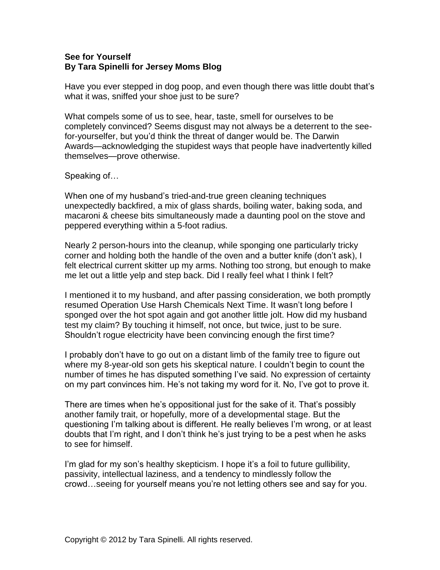## **See for Yourself By Tara Spinelli for Jersey Moms Blog**

Have you ever stepped in dog poop, and even though there was little doubt that's what it was, sniffed your shoe just to be sure?

What compels some of us to see, hear, taste, smell for ourselves to be completely convinced? Seems disgust may not always be a deterrent to the seefor-yourselfer, but you'd think the threat of danger would be. The Darwin Awards—acknowledging the stupidest ways that people have inadvertently killed themselves—prove otherwise.

## Speaking of…

When one of my husband's tried-and-true green cleaning techniques unexpectedly backfired, a mix of glass shards, boiling water, baking soda, and macaroni & cheese bits simultaneously made a daunting pool on the stove and peppered everything within a 5-foot radius.

Nearly 2 person-hours into the cleanup, while sponging one particularly tricky corner and holding both the handle of the oven and a butter knife (don't ask), I felt electrical current skitter up my arms. Nothing too strong, but enough to make me let out a little yelp and step back. Did I really feel what I think I felt?

I mentioned it to my husband, and after passing consideration, we both promptly resumed Operation Use Harsh Chemicals Next Time. It wasn't long before I sponged over the hot spot again and got another little jolt. How did my husband test my claim? By touching it himself, not once, but twice, just to be sure. Shouldn't rogue electricity have been convincing enough the first time?

I probably don't have to go out on a distant limb of the family tree to figure out where my 8-year-old son gets his skeptical nature. I couldn't begin to count the number of times he has disputed something I've said. No expression of certainty on my part convinces him. He's not taking my word for it. No, I've got to prove it.

There are times when he's oppositional just for the sake of it. That's possibly another family trait, or hopefully, more of a developmental stage. But the questioning I'm talking about is different. He really believes I'm wrong, or at least doubts that I'm right, and I don't think he's just trying to be a pest when he asks to see for himself.

I'm glad for my son's healthy skepticism. I hope it's a foil to future gullibility, passivity, intellectual laziness, and a tendency to mindlessly follow the crowd…seeing for yourself means you're not letting others see and say for you.